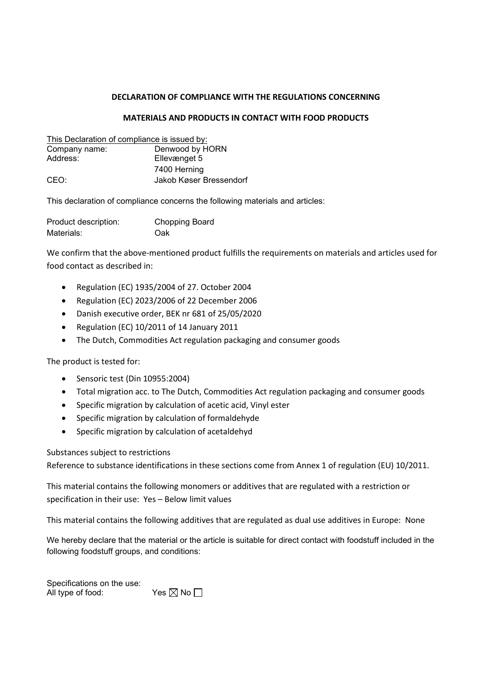## DECLARATION OF COMPLIANCE WITH THE REGULATIONS CONCERNING

## MATERIALS AND PRODUCTS IN CONTACT WITH FOOD PRODUCTS

| This Declaration of compliance is issued by: |                         |
|----------------------------------------------|-------------------------|
| Company name:                                | Denwood by HORN         |
| Address:                                     | Ellevænget 5            |
|                                              | 7400 Herning            |
| CEO:                                         | Jakob Køser Bressendorf |

This declaration of compliance concerns the following materials and articles:

| Product description: | <b>Chopping Board</b> |
|----------------------|-----------------------|
| Materials:           | Oak                   |

We confirm that the above-mentioned product fulfills the requirements on materials and articles used for food contact as described in:

- Regulation (EC) 1935/2004 of 27. October 2004
- Regulation (EC) 2023/2006 of 22 December 2006
- Danish executive order, BEK nr 681 of 25/05/2020
- Regulation (EC) 10/2011 of 14 January 2011
- The Dutch, Commodities Act regulation packaging and consumer goods

The product is tested for:

- Sensoric test (Din 10955:2004)
- Total migration acc. to The Dutch, Commodities Act regulation packaging and consumer goods
- Specific migration by calculation of acetic acid, Vinyl ester
- Specific migration by calculation of formaldehyde
- Specific migration by calculation of acetaldehyd

Substances subject to restrictions

Reference to substance identifications in these sections come from Annex 1 of regulation (EU) 10/2011.

This material contains the following monomers or additives that are regulated with a restriction or specification in their use: Yes – Below limit values

This material contains the following additives that are regulated as dual use additives in Europe: None

We hereby declare that the material or the article is suitable for direct contact with foodstuff included in the following foodstuff groups, and conditions:

Specifications on the use: All type of food: Yes  $\boxtimes$  No  $\Box$